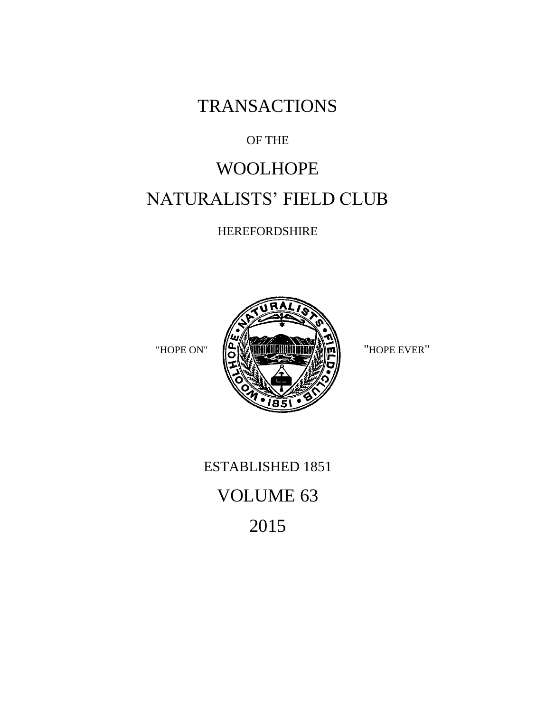**TRANSACTIONS** 

### OF THE

# WOOLHOPE NATURALISTS' FIELD CLUB

HEREFORDSHIRE



# ESTABLISHED 1851 VOLUME 63 2015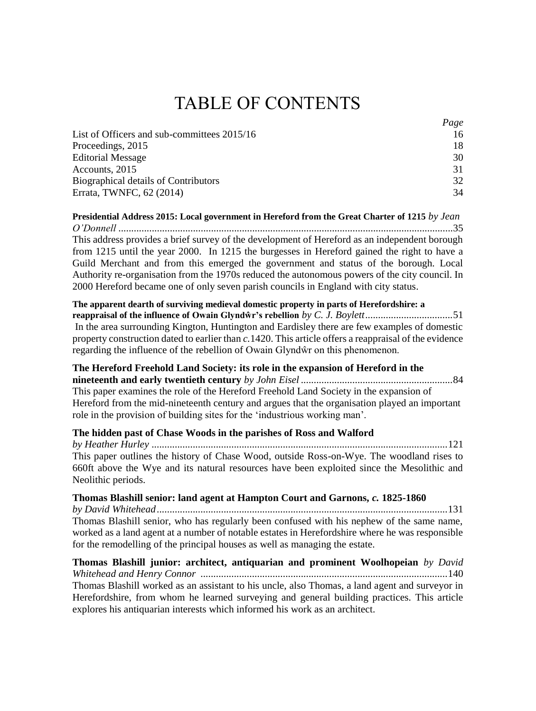## TABLE OF CONTENTS

|                                             | Page |
|---------------------------------------------|------|
| List of Officers and sub-committees 2015/16 | 16   |
| Proceedings, 2015                           | 18   |
| <b>Editorial Message</b>                    | 30   |
| Accounts, 2015                              | 31   |
| Biographical details of Contributors        | 32   |
| Errata, TWNFC, 62 (2014)                    | 34   |

**Presidential Address 2015: Local government in Hereford from the Great Charter of 1215** *by Jean O'Donnell* ..................................................................................................................................35 This address provides a brief survey of the development of Hereford as an independent borough from 1215 until the year 2000. In 1215 the burgesses in Hereford gained the right to have a Guild Merchant and from this emerged the government and status of the borough. Local Authority re-organisation from the 1970s reduced the autonomous powers of the city council. In 2000 Hereford became one of only seven parish councils in England with city status*.*

#### **The apparent dearth of surviving medieval domestic property in parts of Herefordshire: a reappraisal of the influence of Owain Glyndŵr's rebellion** *by C. J. Boylett..................................*51 In the area surrounding Kington, Huntington and Eardisley there are few examples of domestic property construction dated to earlier than *c.*1420. This article offers a reappraisal of the evidence regarding the influence of the rebellion of Owain Glyndŵr on this phenomenon.

#### **The Hereford Freehold Land Society: its role in the expansion of Hereford in the**

**nineteenth and early twentieth century** *by John Eisel ...........................................................*84 This paper examines the role of the Hereford Freehold Land Society in the expansion of Hereford from the mid-nineteenth century and argues that the organisation played an important role in the provision of building sites for the 'industrious working man'.

#### **The hidden past of Chase Woods in the parishes of Ross and Walford**

*by Heather Hurley ...................................................................................................................*121 This paper outlines the history of Chase Wood, outside Ross-on-Wye. The woodland rises to 660ft above the Wye and its natural resources have been exploited since the Mesolithic and Neolithic periods.

#### **Thomas Blashill senior: land agent at Hampton Court and Garnons,** *c.* **1825-1860**

*by David Whitehead.................................................................................................................*131 Thomas Blashill senior, who has regularly been confused with his nephew of the same name, worked as a land agent at a number of notable estates in Herefordshire where he was responsible for the remodelling of the principal houses as well as managing the estate.

**Thomas Blashill junior: architect, antiquarian and prominent Woolhopeian** *by David Whitehead and Henry Connor ................................................................................................*140 Thomas Blashill worked as an assistant to his uncle, also Thomas, a land agent and surveyor in Herefordshire, from whom he learned surveying and general building practices. This article explores his antiquarian interests which informed his work as an architect.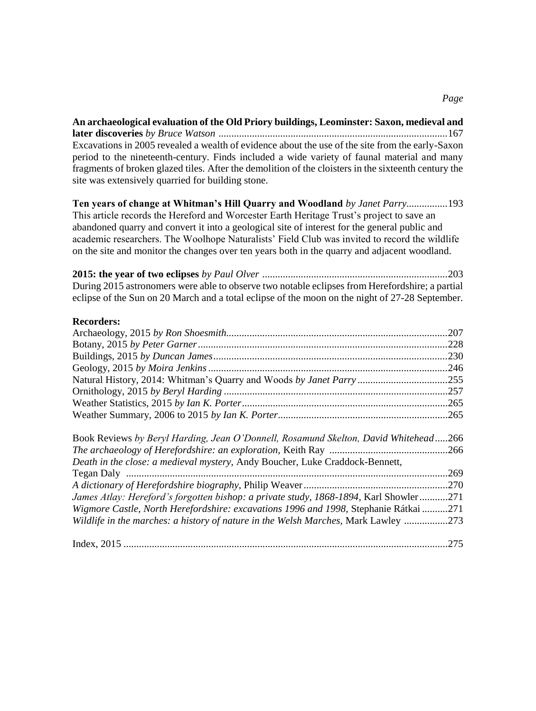**An archaeological evaluation of the Old Priory buildings, Leominster: Saxon, medieval and later discoveries** *by Bruce Watson .........................................................................................*167 Excavations in 2005 revealed a wealth of evidence about the use of the site from the early-Saxon period to the nineteenth-century. Finds included a wide variety of faunal material and many fragments of broken glazed tiles. After the demolition of the cloisters in the sixteenth century the site was extensively quarried for building stone.

**Ten years of change at Whitman's Hill Quarry and Woodland** *by Janet Parry................*193 This article records the Hereford and Worcester Earth Heritage Trust's project to save an abandoned quarry and convert it into a geological site of interest for the general public and academic researchers. The Woolhope Naturalists' Field Club was invited to record the wildlife on the site and monitor the changes over ten years both in the quarry and adjacent woodland.

**2015: the year of two eclipses** *by Paul Olver ........................................................................*203 During 2015 astronomers were able to observe two notable eclipses from Herefordshire; a partial eclipse of the Sun on 20 March and a total eclipse of the moon on the night of 27-28 September.

#### **Recorders:**

| Book Reviews by Beryl Harding, Jean O'Donnell, Rosamund Skelton, David Whitehead266   |      |
|---------------------------------------------------------------------------------------|------|
|                                                                                       |      |
| Death in the close: a medieval mystery, Andy Boucher, Luke Craddock-Bennett,          |      |
|                                                                                       | .269 |
|                                                                                       |      |
| James Atlay: Hereford's forgotten bishop: a private study, 1868-1894, Karl Showler271 |      |
| Wigmore Castle, North Herefordshire: excavations 1996 and 1998, Stephanie Rátkai 271  |      |
| Wildlife in the marches: a history of nature in the Welsh Marches, Mark Lawley        | .273 |
|                                                                                       | .275 |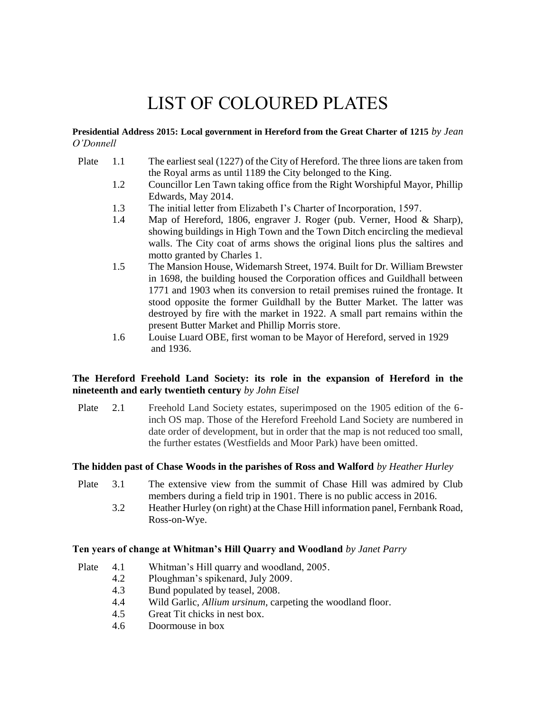# LIST OF COLOURED PLATES

**Presidential Address 2015: Local government in Hereford from the Great Charter of 1215** *by Jean O'Donnell*

- Plate 1.1 The earliest seal (1227) of the City of Hereford. The three lions are taken from the Royal arms as until 1189 the City belonged to the King.
	- 1.2 Councillor Len Tawn taking office from the Right Worshipful Mayor, Phillip Edwards, May 2014.
	- 1.3 The initial letter from Elizabeth I's Charter of Incorporation, 1597.
	- 1.4 Map of Hereford, 1806, engraver J. Roger (pub. Verner, Hood & Sharp), showing buildings in High Town and the Town Ditch encircling the medieval walls. The City coat of arms shows the original lions plus the saltires and motto granted by Charles 1.
	- 1.5 The Mansion House, Widemarsh Street, 1974. Built for Dr. William Brewster in 1698, the building housed the Corporation offices and Guildhall between 1771 and 1903 when its conversion to retail premises ruined the frontage. It stood opposite the former Guildhall by the Butter Market. The latter was destroyed by fire with the market in 1922. A small part remains within the present Butter Market and Phillip Morris store.
	- 1.6 Louise Luard OBE, first woman to be Mayor of Hereford, served in 1929 and 1936.

#### **The Hereford Freehold Land Society: its role in the expansion of Hereford in the nineteenth and early twentieth century** *by John Eisel*

Plate 2.1 Freehold Land Society estates, superimposed on the 1905 edition of the 6 inch OS map. Those of the Hereford Freehold Land Society are numbered in date order of development, but in order that the map is not reduced too small, the further estates (Westfields and Moor Park) have been omitted.

#### **The hidden past of Chase Woods in the parishes of Ross and Walford** *by Heather Hurley*

- Plate 3.1 The extensive view from the summit of Chase Hill was admired by Club members during a field trip in 1901. There is no public access in 2016.
	- 3.2 Heather Hurley (on right) at the Chase Hill information panel, Fernbank Road, Ross-on-Wye.

#### **Ten years of change at Whitman's Hill Quarry and Woodland** *by Janet Parry*

- Plate 4.1 Whitman's Hill quarry and woodland, 2005.
	- 4.2 Ploughman's spikenard, July 2009.
	- 4.3 Bund populated by teasel, 2008.
	- 4.4 Wild Garlic, *Allium ursinum*, carpeting the woodland floor.
	- 4.5 Great Tit chicks in nest box.
	- 4.6 Doormouse in box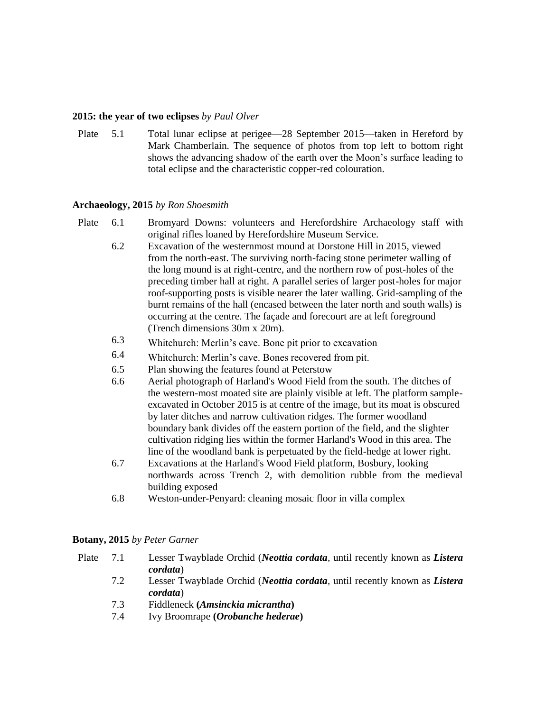#### **2015: the year of two eclipses** *by Paul Olver*

Plate 5.1 Total lunar eclipse at perigee—28 September 2015—taken in Hereford by Mark Chamberlain. The sequence of photos from top left to bottom right shows the advancing shadow of the earth over the Moon's surface leading to total eclipse and the characteristic copper-red colouration.

#### **Archaeology, 2015** *by Ron Shoesmith*

- Plate 6.1 Bromyard Downs: volunteers and Herefordshire Archaeology staff with original rifles loaned by Herefordshire Museum Service.
	- 6.2 Excavation of the westernmost mound at Dorstone Hill in 2015, viewed from the north-east. The surviving north-facing stone perimeter walling of the long mound is at right-centre, and the northern row of post-holes of the preceding timber hall at right. A parallel series of larger post-holes for major roof-supporting posts is visible nearer the later walling. Grid-sampling of the burnt remains of the hall (encased between the later north and south walls) is occurring at the centre. The façade and forecourt are at left foreground (Trench dimensions 30m x 20m).
	- 6.3 Whitchurch: Merlin's cave. Bone pit prior to excavation
	- 6.4 Whitchurch: Merlin's cave. Bones recovered from pit.
	- 6.5 Plan showing the features found at Peterstow
	- 6.6 Aerial photograph of Harland's Wood Field from the south. The ditches of the western-most moated site are plainly visible at left. The platform sampleexcavated in October 2015 is at centre of the image, but its moat is obscured by later ditches and narrow cultivation ridges. The former woodland boundary bank divides off the eastern portion of the field, and the slighter cultivation ridging lies within the former Harland's Wood in this area. The line of the woodland bank is perpetuated by the field-hedge at lower right.
	- 6.7 Excavations at the Harland's Wood Field platform, Bosbury, looking northwards across Trench 2, with demolition rubble from the medieval building exposed
	- 6.8 Weston-under-Penyard: cleaning mosaic floor in villa complex

#### **Botany, 2015** *by Peter Garner*

- Plate 7.1 Lesser Twayblade Orchid (*Neottia cordata,* until recently known as *Listera cordata*)
	- 7.2 Lesser Twayblade Orchid (*Neottia cordata,* until recently known as *Listera cordata*)
	- 7.3 Fiddleneck **(***Amsinckia micrantha***)**
	- 7.4 Ivy Broomrape **(***Orobanche hederae***)**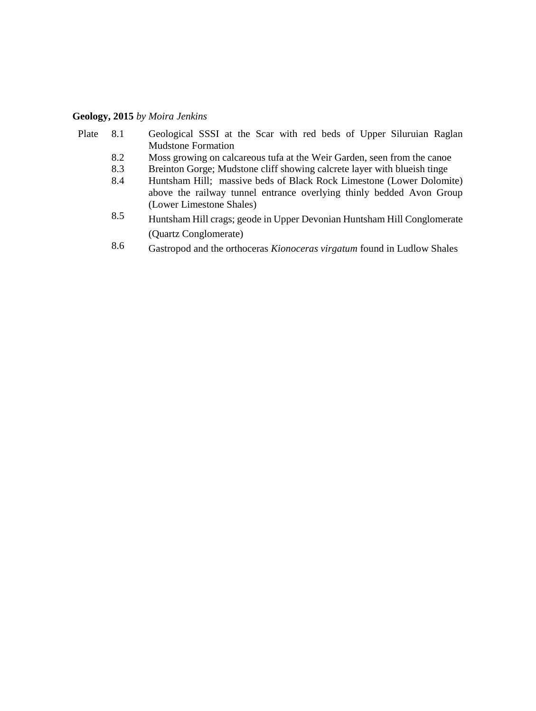#### **Geology, 2015** *by Moira Jenkins*

- Plate 8.1 Geological SSSI at the Scar with red beds of Upper Siluruian Raglan Mudstone Formation
	- 8.2 Moss growing on calcareous tufa at the Weir Garden, seen from the canoe
	- 8.3 Breinton Gorge; Mudstone cliff showing calcrete layer with blueish tinge
	- 8.4 Huntsham Hill; massive beds of Black Rock Limestone (Lower Dolomite) above the railway tunnel entrance overlying thinly bedded Avon Group (Lower Limestone Shales)
	- 8.5 Huntsham Hill crags; geode in Upper Devonian Huntsham Hill Conglomerate (Quartz Conglomerate)
	- 8.6 Gastropod and the orthoceras *Kionoceras virgatum* found in Ludlow Shales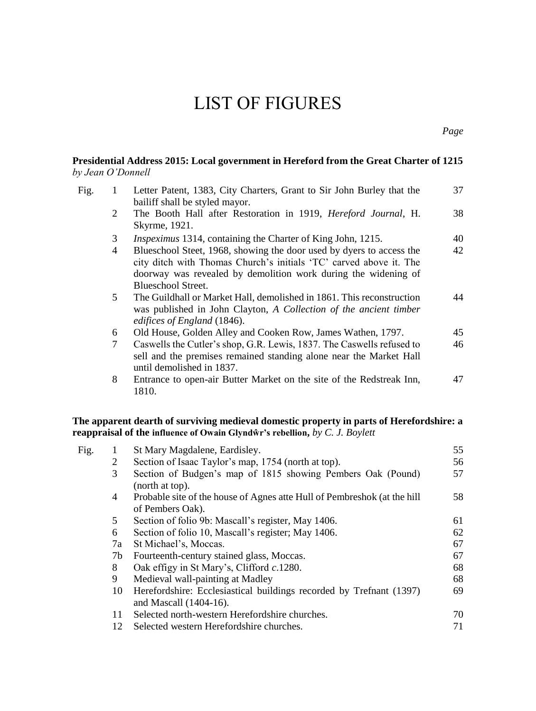## LIST OF FIGURES

| by Jean O'Donnell |                | Presidential Address 2015: Local government in Hereford from the Great Charter of 1215                                                                                                                                             |    |
|-------------------|----------------|------------------------------------------------------------------------------------------------------------------------------------------------------------------------------------------------------------------------------------|----|
| Fig.              | 1              | Letter Patent, 1383, City Charters, Grant to Sir John Burley that the<br>bailiff shall be styled mayor.                                                                                                                            | 37 |
|                   | 2              | The Booth Hall after Restoration in 1919, <i>Hereford Journal</i> , H.<br>Skyrme, 1921.                                                                                                                                            | 38 |
|                   | 3              | <i>Inspeximus</i> 1314, containing the Charter of King John, 1215.                                                                                                                                                                 | 40 |
|                   | $\overline{4}$ | Blueschool Steet, 1968, showing the door used by dyers to access the<br>city ditch with Thomas Church's initials 'TC' carved above it. The<br>doorway was revealed by demolition work during the widening of<br>Blueschool Street. | 42 |
|                   | 5              | The Guildhall or Market Hall, demolished in 1861. This reconstruction<br>was published in John Clayton, A Collection of the ancient timber<br>edifices of England (1846).                                                          | 44 |
|                   | 6              | Old House, Golden Alley and Cooken Row, James Wathen, 1797.                                                                                                                                                                        | 45 |
|                   | 7              | Caswells the Cutler's shop, G.R. Lewis, 1837. The Caswells refused to<br>sell and the premises remained standing alone near the Market Hall<br>until demolished in 1837.                                                           | 46 |
|                   | 8              | Entrance to open-air Butter Market on the site of the Redstreak Inn,<br>1810.                                                                                                                                                      | 47 |

#### **The apparent dearth of surviving medieval domestic property in parts of Herefordshire: a reappraisal of the influence of Owain Glyndŵr's rebellion,** *by C. J. Boylett*

| Fig. |    | St Mary Magdalene, Eardisley.                                                                 | 55 |
|------|----|-----------------------------------------------------------------------------------------------|----|
|      | 2  | Section of Isaac Taylor's map, 1754 (north at top).                                           | 56 |
|      | 3  | Section of Budgen's map of 1815 showing Pembers Oak (Pound)<br>(north at top).                | 57 |
|      | 4  | Probable site of the house of Agnes atte Hull of Pembreshok (at the hill<br>of Pembers Oak).  | 58 |
|      | 5  | Section of folio 9b: Mascall's register, May 1406.                                            | 61 |
|      | 6  | Section of folio 10, Mascall's register; May 1406.                                            | 62 |
|      | 7a | St Michael's, Moccas.                                                                         | 67 |
|      | 7b | Fourteenth-century stained glass, Moccas.                                                     | 67 |
|      | 8  | Oak effigy in St Mary's, Clifford c.1280.                                                     | 68 |
|      | 9  | Medieval wall-painting at Madley                                                              | 68 |
|      | 10 | Herefordshire: Ecclesiastical buildings recorded by Trefnant (1397)<br>and Mascall (1404-16). | 69 |
|      | 11 | Selected north-western Herefordshire churches.                                                | 70 |
|      | 12 | Selected western Herefordshire churches.                                                      | 71 |
|      |    |                                                                                               |    |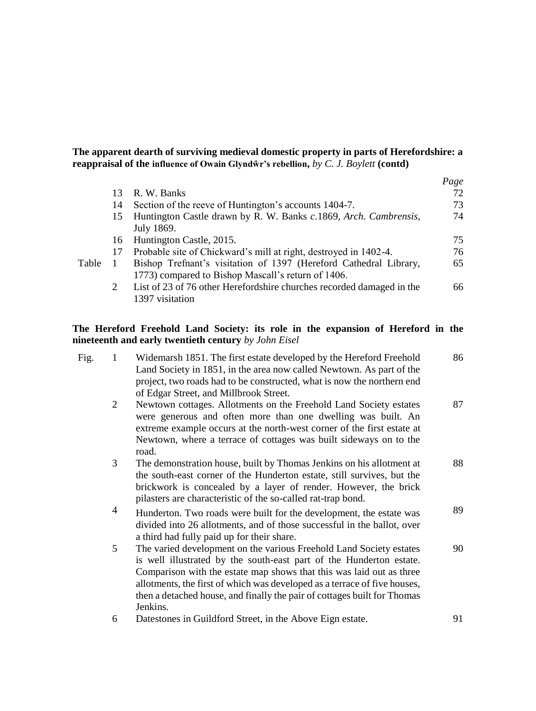#### **The apparent dearth of surviving medieval domestic property in parts of Herefordshire: a reappraisal of the influence of Owain Glyndŵr's rebellion,** *by C. J. Boylett* **(contd)**

|       |               |                                                                       | Page |
|-------|---------------|-----------------------------------------------------------------------|------|
|       | 13            | R. W. Banks                                                           | 72   |
|       | 14            | Section of the reeve of Huntington's accounts 1404-7.                 | 73   |
|       | 15            | Huntington Castle drawn by R. W. Banks c.1869, Arch. Cambrensis,      | 74   |
|       |               | July 1869.                                                            |      |
|       | 16            | Huntington Castle, 2015.                                              | 75   |
|       | 17            | Probable site of Chickward's mill at right, destroyed in 1402-4.      | 76   |
| Table |               | Bishop Trefnant's visitation of 1397 (Hereford Cathedral Library,     | 65   |
|       |               | 1773) compared to Bishop Mascall's return of 1406.                    |      |
|       | $\mathcal{L}$ | List of 23 of 76 other Herefordshire churches recorded damaged in the | 66   |
|       |               | 1397 visitation                                                       |      |

#### **The Hereford Freehold Land Society: its role in the expansion of Hereford in the nineteenth and early twentieth century** *by John Eisel*

| Fig. | 1 | Widemarsh 1851. The first estate developed by the Hereford Freehold<br>Land Society in 1851, in the area now called Newtown. As part of the<br>project, two roads had to be constructed, what is now the northern end<br>of Edgar Street, and Millbrook Street.                                                                                                                         | 86 |
|------|---|-----------------------------------------------------------------------------------------------------------------------------------------------------------------------------------------------------------------------------------------------------------------------------------------------------------------------------------------------------------------------------------------|----|
|      | 2 | Newtown cottages. Allotments on the Freehold Land Society estates<br>were generous and often more than one dwelling was built. An<br>extreme example occurs at the north-west corner of the first estate at<br>Newtown, where a terrace of cottages was built sideways on to the<br>road.                                                                                               | 87 |
|      | 3 | The demonstration house, built by Thomas Jenkins on his allotment at<br>the south-east corner of the Hunderton estate, still survives, but the<br>brickwork is concealed by a layer of render. However, the brick<br>pilasters are characteristic of the so-called rat-trap bond.                                                                                                       | 88 |
|      | 4 | Hunderton. Two roads were built for the development, the estate was<br>divided into 26 allotments, and of those successful in the ballot, over<br>a third had fully paid up for their share.                                                                                                                                                                                            | 89 |
|      | 5 | The varied development on the various Freehold Land Society estates<br>is well illustrated by the south-east part of the Hunderton estate.<br>Comparison with the estate map shows that this was laid out as three<br>allotments, the first of which was developed as a terrace of five houses,<br>then a detached house, and finally the pair of cottages built for Thomas<br>Jenkins. | 90 |
|      | 6 | Datestones in Guildford Street, in the Above Eign estate.                                                                                                                                                                                                                                                                                                                               | 91 |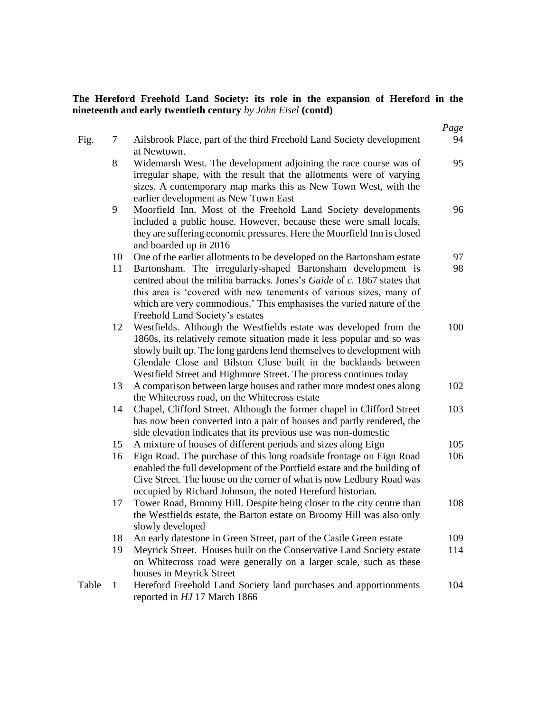#### **The Hereford Freehold Land Society: its role in the expansion of Hereford in the nineteenth and early twentieth century** *by John Eisel* **(contd)**

|       |              |                                                                                                                                                                                                                                                                                                                                                                                                     | Page     |
|-------|--------------|-----------------------------------------------------------------------------------------------------------------------------------------------------------------------------------------------------------------------------------------------------------------------------------------------------------------------------------------------------------------------------------------------------|----------|
| Fig.  | 7            | Ailsbrook Place, part of the third Freehold Land Society development<br>at Newtown.                                                                                                                                                                                                                                                                                                                 | 94       |
|       | $\,8\,$      | Widemarsh West. The development adjoining the race course was of<br>irregular shape, with the result that the allotments were of varying<br>sizes. A contemporary map marks this as New Town West, with the<br>earlier development as New Town East                                                                                                                                                 | 95       |
|       | 9            | Moorfield Inn. Most of the Freehold Land Society developments<br>included a public house. However, because these were small locals,<br>they are suffering economic pressures. Here the Moorfield Inn is closed<br>and boarded up in 2016                                                                                                                                                            | 96       |
|       | 10<br>11     | One of the earlier allotments to be developed on the Bartonsham estate<br>Bartonsham. The irregularly-shaped Bartonsham development is<br>centred about the militia barracks. Jones's Guide of c. 1867 states that<br>this area is 'covered with new tenements of various sizes, many of<br>which are very commodious.' This emphasises the varied nature of the<br>Freehold Land Society's estates | 97<br>98 |
|       | 12           | Westfields. Although the Westfields estate was developed from the<br>1860s, its relatively remote situation made it less popular and so was<br>slowly built up. The long gardens lend themselves to development with<br>Glendale Close and Bilston Close built in the backlands between<br>Westfield Street and Highmore Street. The process continues today                                        | 100      |
|       | 13           | A comparison between large houses and rather more modest ones along<br>the Whitecross road, on the Whitecross estate                                                                                                                                                                                                                                                                                | 102      |
|       | 14           | Chapel, Clifford Street. Although the former chapel in Clifford Street<br>has now been converted into a pair of houses and partly rendered, the<br>side elevation indicates that its previous use was non-domestic                                                                                                                                                                                  | 103      |
|       | 15           | A mixture of houses of different periods and sizes along Eign                                                                                                                                                                                                                                                                                                                                       | 105      |
|       | 16           | Eign Road. The purchase of this long roadside frontage on Eign Road<br>enabled the full development of the Portfield estate and the building of<br>Cive Street. The house on the corner of what is now Ledbury Road was<br>occupied by Richard Johnson, the noted Hereford historian.                                                                                                               | 106      |
|       | 17           | Tower Road, Broomy Hill. Despite being closer to the city centre than<br>the Westfields estate, the Barton estate on Broomy Hill was also only<br>slowly developed                                                                                                                                                                                                                                  | 108      |
|       | 18           | An early datestone in Green Street, part of the Castle Green estate                                                                                                                                                                                                                                                                                                                                 | 109      |
|       | 19           | Meyrick Street. Houses built on the Conservative Land Society estate<br>on Whitecross road were generally on a larger scale, such as these<br>houses in Meyrick Street                                                                                                                                                                                                                              | 114      |
| Table | $\mathbf{1}$ | Hereford Freehold Land Society land purchases and apportionments<br>reported in HJ 17 March 1866                                                                                                                                                                                                                                                                                                    | 104      |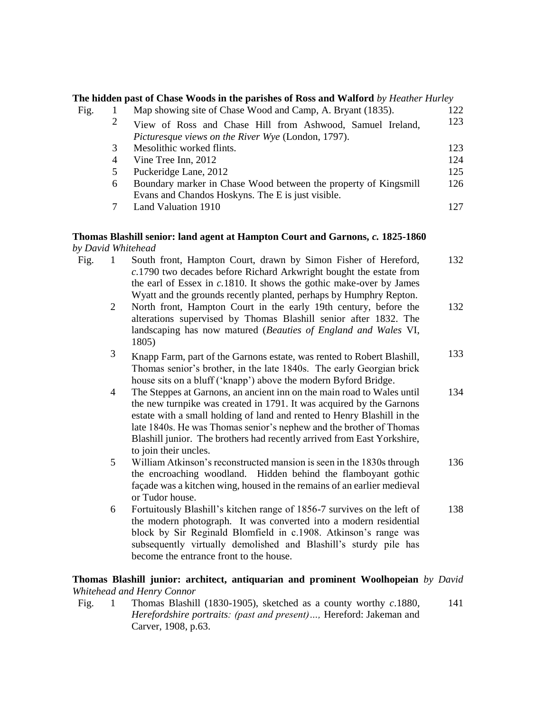|                    |                | The hidden past of Chase Woods in the parishes of Ross and Walford by Heather Hurley                                                                                                                                                                                                                                                                                                                 |     |
|--------------------|----------------|------------------------------------------------------------------------------------------------------------------------------------------------------------------------------------------------------------------------------------------------------------------------------------------------------------------------------------------------------------------------------------------------------|-----|
| Fig.               | 1              | Map showing site of Chase Wood and Camp, A. Bryant (1835).                                                                                                                                                                                                                                                                                                                                           | 122 |
|                    | $\overline{c}$ | View of Ross and Chase Hill from Ashwood, Samuel Ireland,<br>Picturesque views on the River Wye (London, 1797).                                                                                                                                                                                                                                                                                      | 123 |
|                    | 3              | Mesolithic worked flints.                                                                                                                                                                                                                                                                                                                                                                            | 123 |
|                    | $\overline{4}$ | Vine Tree Inn, 2012                                                                                                                                                                                                                                                                                                                                                                                  | 124 |
|                    | 5              | Puckeridge Lane, 2012                                                                                                                                                                                                                                                                                                                                                                                | 125 |
|                    | 6              | Boundary marker in Chase Wood between the property of Kingsmill<br>Evans and Chandos Hoskyns. The E is just visible.                                                                                                                                                                                                                                                                                 | 126 |
|                    | 7              | Land Valuation 1910                                                                                                                                                                                                                                                                                                                                                                                  | 127 |
| by David Whitehead |                | Thomas Blashill senior: land agent at Hampton Court and Garnons, c. 1825-1860                                                                                                                                                                                                                                                                                                                        |     |
| Fig.               | 1              | South front, Hampton Court, drawn by Simon Fisher of Hereford,                                                                                                                                                                                                                                                                                                                                       | 132 |
|                    |                | c.1790 two decades before Richard Arkwright bought the estate from<br>the earl of Essex in $c.1810$ . It shows the gothic make-over by James<br>Wyatt and the grounds recently planted, perhaps by Humphry Repton.                                                                                                                                                                                   |     |
|                    | $\mathbf{2}$   | North front, Hampton Court in the early 19th century, before the<br>alterations supervised by Thomas Blashill senior after 1832. The<br>landscaping has now matured (Beauties of England and Wales VI,<br>1805)                                                                                                                                                                                      | 132 |
|                    | 3              | Knapp Farm, part of the Garnons estate, was rented to Robert Blashill,<br>Thomas senior's brother, in the late 1840s. The early Georgian brick<br>house sits on a bluff ('knapp') above the modern Byford Bridge.                                                                                                                                                                                    | 133 |
|                    | 4              | The Steppes at Garnons, an ancient inn on the main road to Wales until<br>the new turnpike was created in 1791. It was acquired by the Garnons<br>estate with a small holding of land and rented to Henry Blashill in the<br>late 1840s. He was Thomas senior's nephew and the brother of Thomas<br>Blashill junior. The brothers had recently arrived from East Yorkshire,<br>to join their uncles. | 134 |
|                    | 5              | William Atkinson's reconstructed mansion is seen in the 1830s through<br>the encroaching woodland. Hidden behind the flamboyant gothic<br>façade was a kitchen wing, housed in the remains of an earlier medieval<br>or Tudor house.                                                                                                                                                                 | 136 |
|                    | 6              | Fortuitously Blashill's kitchen range of 1856-7 survives on the left of<br>the modern photograph. It was converted into a modern residential<br>block by Sir Reginald Blomfield in c.1908. Atkinson's range was<br>subsequently virtually demolished and Blashill's sturdy pile has<br>become the entrance front to the house.                                                                       | 138 |
|                    |                | Thomas Blashill junior: architect, antiquarian and prominent Woolhopeian by David<br>Whitehead and Henry Connor                                                                                                                                                                                                                                                                                      |     |

Fig. 1 Thomas Blashill (1830-1905), sketched as a county worthy *c*.1880, *Herefordshire portraits: (past and present)…,* Hereford: Jakeman and Carver, 1908, p.63. 141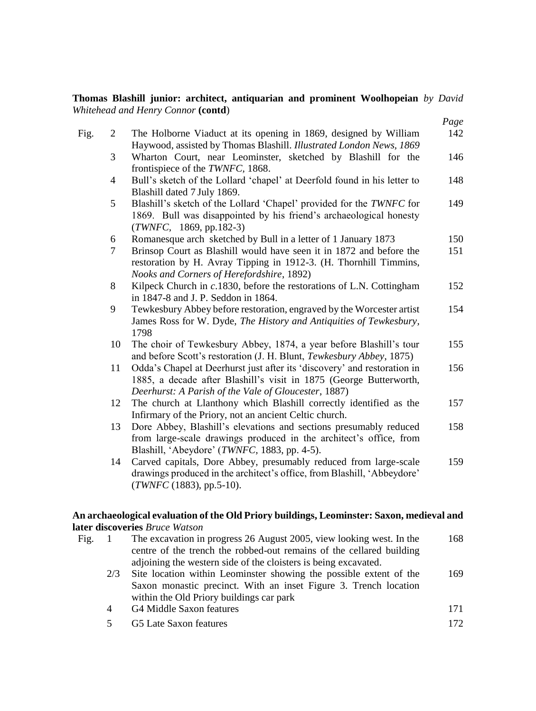#### **Thomas Blashill junior: architect, antiquarian and prominent Woolhopeian** *by David Whitehead and Henry Connor* **(contd**)

|           |                                                                                                                                                                                                        | Page |
|-----------|--------------------------------------------------------------------------------------------------------------------------------------------------------------------------------------------------------|------|
| Fig.<br>2 | The Holborne Viaduct at its opening in 1869, designed by William<br>Haywood, assisted by Thomas Blashill. Illustrated London News, 1869                                                                | 142  |
| 3         | Wharton Court, near Leominster, sketched by Blashill for the<br>frontispiece of the TWNFC, 1868.                                                                                                       | 146  |
| 4         | Bull's sketch of the Lollard 'chapel' at Deerfold found in his letter to<br>Blashill dated 7 July 1869.                                                                                                | 148  |
| 5         | Blashill's sketch of the Lollard 'Chapel' provided for the TWNFC for<br>1869. Bull was disappointed by his friend's archaeological honesty<br>$(TWNFC, 1869, pp.182-3)$                                | 149  |
| 6         | Romanesque arch sketched by Bull in a letter of 1 January 1873                                                                                                                                         | 150  |
| $\tau$    | Brinsop Court as Blashill would have seen it in 1872 and before the<br>restoration by H. Avray Tipping in 1912-3. (H. Thornhill Timmins,<br>Nooks and Corners of Herefordshire, 1892)                  | 151  |
| 8         | Kilpeck Church in $c.1830$ , before the restorations of L.N. Cottingham<br>in 1847-8 and J. P. Seddon in 1864.                                                                                         | 152  |
| 9         | Tewkesbury Abbey before restoration, engraved by the Worcester artist<br>James Ross for W. Dyde, The History and Antiquities of Tewkesbury,<br>1798                                                    | 154  |
| 10        | The choir of Tewkesbury Abbey, 1874, a year before Blashill's tour<br>and before Scott's restoration (J. H. Blunt, Tewkesbury Abbey, 1875)                                                             | 155  |
| 11        | Odda's Chapel at Deerhurst just after its 'discovery' and restoration in<br>1885, a decade after Blashill's visit in 1875 (George Butterworth,<br>Deerhurst: A Parish of the Vale of Gloucester, 1887) | 156  |
| 12        | The church at Llanthony which Blashill correctly identified as the<br>Infirmary of the Priory, not an ancient Celtic church.                                                                           | 157  |
| 13        | Dore Abbey, Blashill's elevations and sections presumably reduced<br>from large-scale drawings produced in the architect's office, from<br>Blashill, 'Abeydore' (TWNFC, 1883, pp. 4-5).                | 158  |
| 14        | Carved capitals, Dore Abbey, presumably reduced from large-scale<br>drawings produced in the architect's office, from Blashill, 'Abbeydore'<br>$(TWNFC (1883), pp.5-10).$                              | 159  |

#### **An archaeological evaluation of the Old Priory buildings, Leominster: Saxon, medieval and later discoveries** *Bruce Watson*

| Fig. |     | The excavation in progress 26 August 2005, view looking west. In the | 168  |
|------|-----|----------------------------------------------------------------------|------|
|      |     | centre of the trench the robbed-out remains of the cellared building |      |
|      |     | adjoining the western side of the cloisters is being excavated.      |      |
|      | 2/3 | Site location within Leominster showing the possible extent of the   | 169  |
|      |     | Saxon monastic precinct. With an inset Figure 3. Trench location     |      |
|      |     | within the Old Priory buildings car park                             |      |
|      | 4   | G4 Middle Saxon features                                             | 171  |
|      | 5   | G5 Late Saxon features                                               | 172. |
|      |     |                                                                      |      |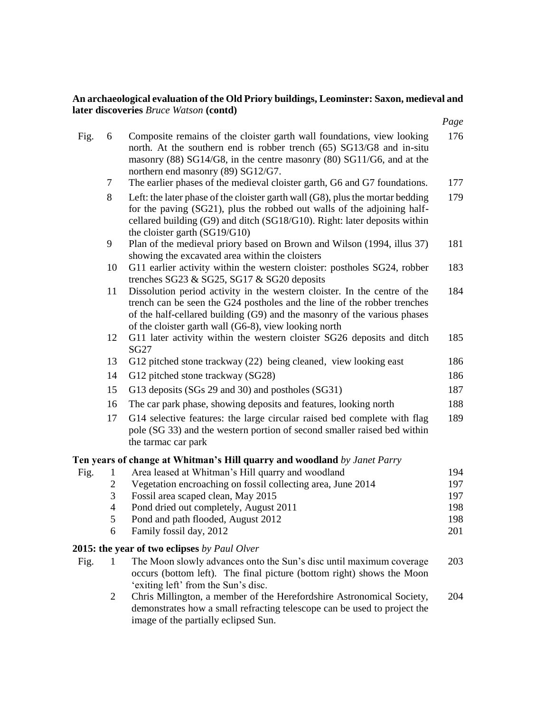#### **An archaeological evaluation of the Old Priory buildings, Leominster: Saxon, medieval and later discoveries** *Bruce Watson* **(contd)**

|      |                          |                                                                                                                                                                                                                                                                                            | Page       |
|------|--------------------------|--------------------------------------------------------------------------------------------------------------------------------------------------------------------------------------------------------------------------------------------------------------------------------------------|------------|
| Fig. | 6                        | Composite remains of the cloister garth wall foundations, view looking<br>north. At the southern end is robber trench (65) SG13/G8 and in-situ<br>masonry (88) SG14/G8, in the centre masonry (80) SG11/G6, and at the<br>northern end masonry (89) SG12/G7.                               | 176        |
|      | 7                        | The earlier phases of the medieval cloister garth, G6 and G7 foundations.                                                                                                                                                                                                                  | 177        |
|      | 8                        | Left: the later phase of the cloister garth wall (G8), plus the mortar bedding<br>for the paving (SG21), plus the robbed out walls of the adjoining half-<br>cellared building (G9) and ditch (SG18/G10). Right: later deposits within<br>the cloister garth (SG19/G10)                    | 179        |
|      | 9                        | Plan of the medieval priory based on Brown and Wilson (1994, illus 37)<br>showing the excavated area within the cloisters                                                                                                                                                                  | 181        |
|      | 10                       | G11 earlier activity within the western cloister: postholes SG24, robber<br>trenches SG23 & SG25, SG17 & SG20 deposits                                                                                                                                                                     | 183        |
|      | 11                       | Dissolution period activity in the western cloister. In the centre of the<br>trench can be seen the G24 postholes and the line of the robber trenches<br>of the half-cellared building (G9) and the masonry of the various phases<br>of the cloister garth wall (G6-8), view looking north | 184        |
|      | 12                       | G11 later activity within the western cloister SG26 deposits and ditch<br>SG27                                                                                                                                                                                                             | 185        |
|      | 13                       | G12 pitched stone trackway (22) being cleaned, view looking east                                                                                                                                                                                                                           | 186        |
|      | 14                       | G12 pitched stone trackway (SG28)                                                                                                                                                                                                                                                          | 186        |
|      | 15                       | G13 deposits (SGs 29 and 30) and postholes (SG31)                                                                                                                                                                                                                                          | 187        |
|      | 16                       | The car park phase, showing deposits and features, looking north                                                                                                                                                                                                                           | 188        |
|      | 17                       | G14 selective features: the large circular raised bed complete with flag<br>pole (SG 33) and the western portion of second smaller raised bed within<br>the tarmac car park                                                                                                                | 189        |
|      |                          | Ten years of change at Whitman's Hill quarry and woodland by Janet Parry                                                                                                                                                                                                                   |            |
| Fig. | 1                        | Area leased at Whitman's Hill quarry and woodland                                                                                                                                                                                                                                          | 194        |
|      | $\mathbf{2}$             | Vegetation encroaching on fossil collecting area, June 2014                                                                                                                                                                                                                                | 197        |
|      | 3                        | Fossil area scaped clean, May 2015                                                                                                                                                                                                                                                         | 197        |
|      | $\overline{\mathcal{L}}$ | Pond dried out completely, August 2011                                                                                                                                                                                                                                                     | 198        |
|      | 5<br>6                   | Pond and path flooded, August 2012<br>Family fossil day, 2012                                                                                                                                                                                                                              | 198<br>201 |
|      |                          |                                                                                                                                                                                                                                                                                            |            |
|      |                          | 2015: the year of two eclipses by Paul Olver                                                                                                                                                                                                                                               |            |
| Fig. | 1                        | The Moon slowly advances onto the Sun's disc until maximum coverage<br>occurs (bottom left). The final picture (bottom right) shows the Moon<br>'exiting left' from the Sun's disc.                                                                                                        | 203        |
|      | $\overline{c}$           | Chris Millington, a member of the Herefordshire Astronomical Society,<br>demonstrates how a small refracting telescope can be used to project the<br>image of the partially eclipsed Sun.                                                                                                  | 204        |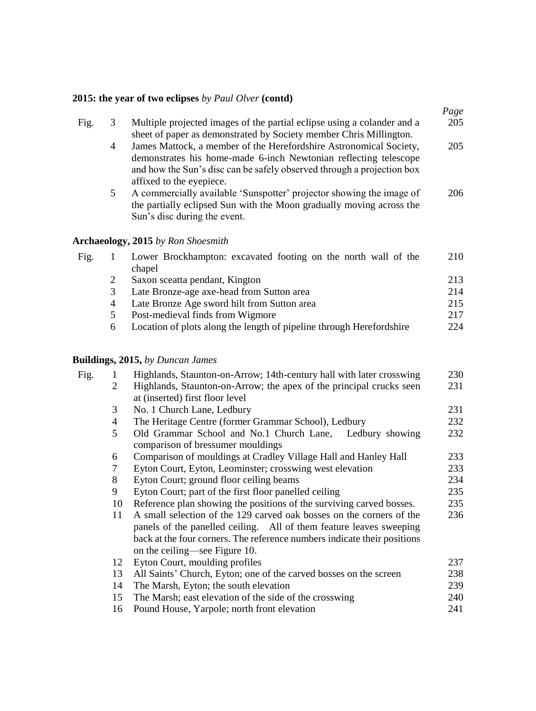### **2015: the year of two eclipses** *by Paul Olver* **(contd)**

|      |   |                                                                                                                                                                                                                                              | Page |
|------|---|----------------------------------------------------------------------------------------------------------------------------------------------------------------------------------------------------------------------------------------------|------|
| Fig. | 3 | Multiple projected images of the partial eclipse using a colander and a<br>sheet of paper as demonstrated by Society member Chris Millington.                                                                                                | 205  |
|      | 4 | James Mattock, a member of the Herefordshire Astronomical Society,<br>demonstrates his home-made 6-inch Newtonian reflecting telescope<br>and how the Sun's disc can be safely observed through a projection box<br>affixed to the eyepiece. | 205  |
|      | 5 | A commercially available 'Sunspotter' projector showing the image of<br>the partially eclipsed Sun with the Moon gradually moving across the<br>Sun's disc during the event.                                                                 | 206  |
|      |   | <b>Archaeology, 2015</b> by Ron Shoesmith                                                                                                                                                                                                    |      |
| Fig. | 1 | Lower Brockhampton: excavated footing on the north wall of the<br>chapel                                                                                                                                                                     | 210  |
|      | 2 | Saxon sceatta pendant, Kington                                                                                                                                                                                                               | 213  |
|      | 3 | Late Bronze-age axe-head from Sutton area                                                                                                                                                                                                    | 214  |
|      | 4 | Late Bronze Age sword hilt from Sutton area                                                                                                                                                                                                  | 215  |
|      | 5 | Post-medieval finds from Wigmore                                                                                                                                                                                                             | 217  |
|      | 6 | Location of plots along the length of pipeline through Herefordshire                                                                                                                                                                         | 224  |

#### **Buildings, 2015,** *by Duncan James*

| Fig. | 1              | Highlands, Staunton-on-Arrow; 14th-century hall with later crosswing     | 230 |
|------|----------------|--------------------------------------------------------------------------|-----|
|      | 2              | Highlands, Staunton-on-Arrow; the apex of the principal crucks seen      | 231 |
|      |                | at (inserted) first floor level                                          |     |
|      | 3              | No. 1 Church Lane, Ledbury                                               | 231 |
|      | $\overline{4}$ | The Heritage Centre (former Grammar School), Ledbury                     | 232 |
|      | 5              | Old Grammar School and No.1 Church Lane, Ledbury showing                 | 232 |
|      |                | comparison of bressumer mouldings                                        |     |
|      | 6              | Comparison of mouldings at Cradley Village Hall and Hanley Hall          | 233 |
|      | 7              | Eyton Court, Eyton, Leominster; crosswing west elevation                 | 233 |
|      | 8              | Eyton Court; ground floor ceiling beams                                  | 234 |
|      | 9              | Eyton Court; part of the first floor panelled ceiling                    | 235 |
|      | 10             | Reference plan showing the positions of the surviving carved bosses.     | 235 |
|      | 11             | A small selection of the 129 carved oak bosses on the corners of the     | 236 |
|      |                | panels of the panelled ceiling. All of them feature leaves sweeping      |     |
|      |                | back at the four corners. The reference numbers indicate their positions |     |
|      |                | on the ceiling—see Figure 10.                                            |     |
|      | 12             | Eyton Court, moulding profiles                                           | 237 |
|      | 13             | All Saints' Church, Eyton; one of the carved bosses on the screen        | 238 |
|      | 14             | The Marsh, Eyton; the south elevation                                    | 239 |
|      | 15             | The Marsh; east elevation of the side of the crosswing                   | 240 |
|      | 16             | Pound House, Yarpole; north front elevation                              | 241 |
|      |                |                                                                          |     |